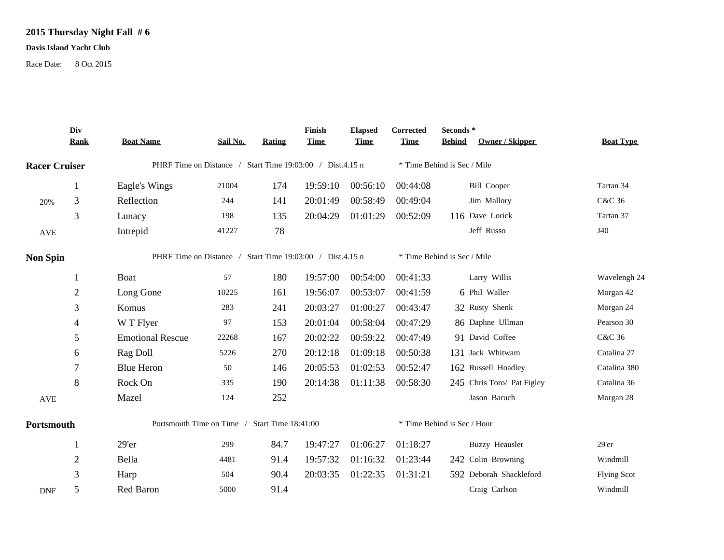## **2015 Thursday Night Fall # 6**

## **Davis Island Yacht Club**

Race Date: 8 Oct 2015

|                      | Div<br><b>Rank</b> | <b>Boat Name</b>                                          | Sail No.                    | Rating | Finish<br><b>Time</b> | <b>Elapsed</b><br><b>Time</b> | Corrected<br><b>Time</b> | Seconds*<br>Owner / Skipper<br><b>Behind</b> | <b>Boat Type</b>   |
|----------------------|--------------------|-----------------------------------------------------------|-----------------------------|--------|-----------------------|-------------------------------|--------------------------|----------------------------------------------|--------------------|
| <b>Racer Cruiser</b> |                    | PHRF Time on Distance / Start Time 19:03:00 / Dist.4.15 n |                             |        |                       | * Time Behind is Sec / Mile   |                          |                                              |                    |
|                      | 1                  | Eagle's Wings                                             | 21004                       | 174    | 19:59:10              | 00:56:10                      | 00:44:08                 | <b>Bill Cooper</b>                           | Tartan 34          |
| 20%                  | 3                  | Reflection                                                | 244                         | 141    | 20:01:49              | 00:58:49                      | 00:49:04                 | Jim Mallory                                  | C&C 36             |
|                      | 3                  | Lunacy                                                    | 198                         | 135    | 20:04:29              | 01:01:29                      | 00:52:09                 | 116 Dave Lorick                              | Tartan 37          |
| $\operatorname{AVE}$ |                    | Intrepid                                                  | 41227                       | 78     |                       |                               |                          | Jeff Russo                                   | J40                |
| <b>Non Spin</b>      |                    | PHRF Time on Distance / Start Time 19:03:00 / Dist.4.15 n |                             |        |                       |                               |                          | * Time Behind is Sec / Mile                  |                    |
|                      | 1                  | Boat                                                      | 57                          | 180    | 19:57:00              | 00:54:00                      | 00:41:33                 | Larry Willis                                 | Wavelengh 24       |
|                      | $\overline{2}$     | Long Gone                                                 | 10225                       | 161    | 19:56:07              | 00:53:07                      | 00:41:59                 | 6 Phil Waller                                | Morgan 42          |
|                      | 3                  | Komus                                                     | 283                         | 241    | 20:03:27              | 01:00:27                      | 00:43:47                 | 32 Rusty Shenk                               | Morgan 24          |
|                      | 4                  | W T Flyer                                                 | 97                          | 153    | 20:01:04              | 00:58:04                      | 00:47:29                 | 86 Daphne Ullman                             | Pearson 30         |
|                      | 5                  | <b>Emotional Rescue</b>                                   | 22268                       | 167    | 20:02:22              | 00:59:22                      | 00:47:49                 | 91 David Coffee                              | C&C 36             |
|                      | 6                  | Rag Doll                                                  | 5226                        | 270    | 20:12:18              | 01:09:18                      | 00:50:38                 | 131 Jack Whitwam                             | Catalina 27        |
|                      | 7                  | <b>Blue Heron</b>                                         | 50                          | 146    | 20:05:53              | 01:02:53                      | 00:52:47                 | 162 Russell Hoadley                          | Catalina 380       |
|                      | 8                  | Rock On                                                   | 335                         | 190    | 20:14:38              | 01:11:38                      | 00:58:30                 | 245 Chris Toro/ Pat Figley                   | Catalina 36        |
| <b>AVE</b>           |                    | Mazel                                                     | 124                         | 252    |                       |                               |                          | Jason Baruch                                 | Morgan 28          |
| Portsmouth           |                    | Portsmouth Time on Time / Start Time 18:41:00             | * Time Behind is Sec / Hour |        |                       |                               |                          |                                              |                    |
|                      | 1                  | 29'er                                                     | 299                         | 84.7   | 19:47:27              | 01:06:27                      | 01:18:27                 | <b>Buzzy Heausler</b>                        | 29'er              |
|                      | $\overline{2}$     | Bella                                                     | 4481                        | 91.4   | 19:57:32              | 01:16:32                      | 01:23:44                 | 242 Colin Browning                           | Windmill           |
|                      | 3                  | Harp                                                      | 504                         | 90.4   | 20:03:35              | 01:22:35                      | 01:31:21                 | 592 Deborah Shackleford                      | <b>Flying Scot</b> |
| <b>DNF</b>           | 5                  | Red Baron                                                 | 5000                        | 91.4   |                       |                               |                          | Craig Carlson                                | Windmill           |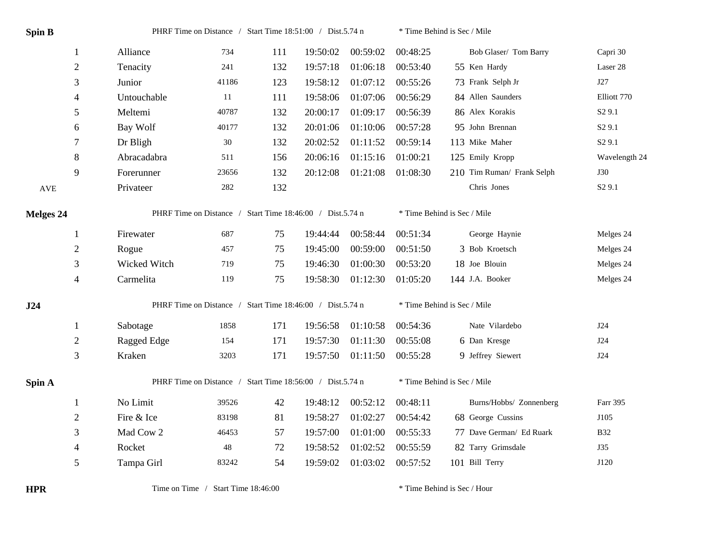| <b>Spin B</b>        |                | PHRF Time on Distance / Start Time 18:51:00 / Dist.5.74 n |       |     |          |          | * Time Behind is Sec / Mile |                            |                    |  |
|----------------------|----------------|-----------------------------------------------------------|-------|-----|----------|----------|-----------------------------|----------------------------|--------------------|--|
|                      | $\mathbf{1}$   | Alliance                                                  | 734   | 111 | 19:50:02 | 00:59:02 | 00:48:25                    | Bob Glaser/ Tom Barry      | Capri 30           |  |
|                      | $\overline{2}$ | Tenacity                                                  | 241   | 132 | 19:57:18 | 01:06:18 | 00:53:40                    | 55 Ken Hardy               | Laser 28           |  |
|                      | 3              | Junior                                                    | 41186 | 123 | 19:58:12 | 01:07:12 | 00:55:26                    | 73 Frank Selph Jr          | J27                |  |
|                      | 4              | Untouchable                                               | 11    | 111 | 19:58:06 | 01:07:06 | 00:56:29                    | 84 Allen Saunders          | Elliott 770        |  |
|                      | 5              | Meltemi                                                   | 40787 | 132 | 20:00:17 | 01:09:17 | 00:56:39                    | 86 Alex Korakis            | S <sub>2</sub> 9.1 |  |
|                      | 6              | Bay Wolf                                                  | 40177 | 132 | 20:01:06 | 01:10:06 | 00:57:28                    | 95 John Brennan            | S <sub>2</sub> 9.1 |  |
|                      | $\tau$         | Dr Bligh                                                  | 30    | 132 | 20:02:52 | 01:11:52 | 00:59:14                    | 113 Mike Maher             | S <sub>2</sub> 9.1 |  |
|                      | $\,8\,$        | Abracadabra                                               | 511   | 156 | 20:06:16 | 01:15:16 | 01:00:21                    | 125 Emily Kropp            | Wavelength 24      |  |
|                      | 9              | Forerunner                                                | 23656 | 132 | 20:12:08 | 01:21:08 | 01:08:30                    | 210 Tim Ruman/ Frank Selph | <b>J30</b>         |  |
| $\operatorname{AVE}$ |                | Privateer                                                 | 282   | 132 |          |          |                             | Chris Jones                | S <sub>2</sub> 9.1 |  |
| <b>Melges 24</b>     |                | PHRF Time on Distance / Start Time 18:46:00 / Dist.5.74 n |       |     |          |          | * Time Behind is Sec / Mile |                            |                    |  |
|                      | 1              | Firewater                                                 | 687   | 75  | 19:44:44 | 00:58:44 | 00:51:34                    | George Haynie              | Melges 24          |  |
|                      | $\sqrt{2}$     | Rogue                                                     | 457   | 75  | 19:45:00 | 00:59:00 | 00:51:50                    | 3 Bob Kroetsch             | Melges 24          |  |
|                      | 3              | Wicked Witch                                              | 719   | 75  | 19:46:30 | 01:00:30 | 00:53:20                    | 18 Joe Blouin              | Melges 24          |  |
|                      | $\overline{4}$ | Carmelita                                                 | 119   | 75  | 19:58:30 | 01:12:30 | 01:05:20                    | 144 J.A. Booker            | Melges 24          |  |
| J24                  |                | PHRF Time on Distance / Start Time 18:46:00 / Dist.5.74 n |       |     |          |          | * Time Behind is Sec / Mile |                            |                    |  |
|                      | 1              | Sabotage                                                  | 1858  | 171 | 19:56:58 | 01:10:58 | 00:54:36                    | Nate Vilardebo             | J24                |  |
|                      | $\mathfrak{2}$ | Ragged Edge                                               | 154   | 171 | 19:57:30 | 01:11:30 | 00:55:08                    | 6 Dan Kresge               | J24                |  |
|                      | 3              | Kraken                                                    | 3203  | 171 | 19:57:50 | 01:11:50 | 00:55:28                    | 9 Jeffrey Siewert          | J24                |  |
| Spin A               |                | PHRF Time on Distance / Start Time 18:56:00 / Dist.5.74 n |       |     |          |          | * Time Behind is Sec / Mile |                            |                    |  |
|                      | 1              | No Limit                                                  | 39526 | 42  | 19:48:12 | 00:52:12 | 00:48:11                    | Burns/Hobbs/ Zonnenberg    | Farr 395           |  |
|                      | $\overline{2}$ | Fire & Ice                                                | 83198 | 81  | 19:58:27 | 01:02:27 | 00:54:42                    | 68 George Cussins          | J105               |  |
|                      | 3              | Mad Cow 2                                                 | 46453 | 57  | 19:57:00 | 01:01:00 | 00:55:33                    | 77 Dave German/ Ed Ruark   | <b>B32</b>         |  |
|                      | 4              | Rocket                                                    | 48    | 72  | 19:58:52 | 01:02:52 | 00:55:59                    | 82 Tarry Grimsdale         | <b>J35</b>         |  |
|                      | 5              | Tampa Girl                                                | 83242 | 54  | 19:59:02 | 01:03:02 | 00:57:52                    | 101 Bill Terry             | J120               |  |

**HPR** Time on Time / Start Time 18:46:00 \* Time Behind is Sec / Hour